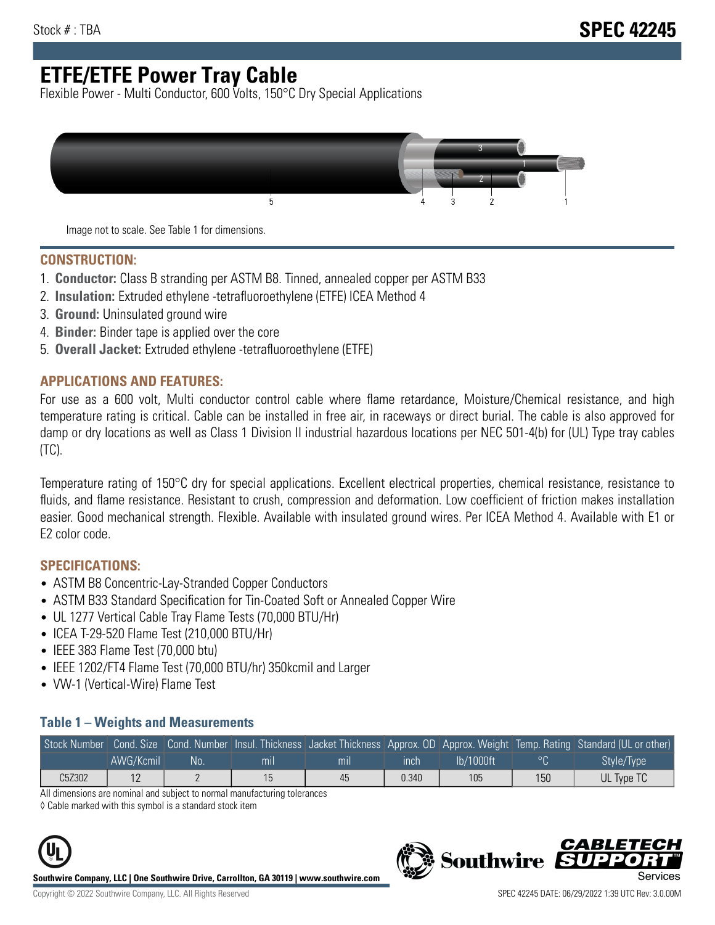# **ETFE/ETFE Power Tray Cable**

Flexible Power - Multi Conductor, 600 Volts, 150°C Dry Special Applications



Image not to scale. See Table 1 for dimensions.

#### **CONSTRUCTION:**

- 1. **Conductor:** Class B stranding per ASTM B8. Tinned, annealed copper per ASTM B33
- 2. **Insulation:** Extruded ethylene -tetrafluoroethylene (ETFE) ICEA Method 4
- 3. **Ground:** Uninsulated ground wire
- 4. **Binder:** Binder tape is applied over the core
- 5. **Overall Jacket:** Extruded ethylene -tetrafluoroethylene (ETFE)

#### **APPLICATIONS AND FEATURES:**

For use as a 600 volt, Multi conductor control cable where flame retardance, Moisture/Chemical resistance, and high temperature rating is critical. Cable can be installed in free air, in raceways or direct burial. The cable is also approved for damp or dry locations as well as Class 1 Division II industrial hazardous locations per NEC 501-4(b) for (UL) Type tray cables (TC).

Temperature rating of 150°C dry for special applications. Excellent electrical properties, chemical resistance, resistance to fluids, and flame resistance. Resistant to crush, compression and deformation. Low coefficient of friction makes installation easier. Good mechanical strength. Flexible. Available with insulated ground wires. Per ICEA Method 4. Available with E1 or E2 color code.

### **SPECIFICATIONS:**

- ASTM B8 Concentric-Lay-Stranded Copper Conductors
- ASTM B33 Standard Specification for Tin-Coated Soft or Annealed Copper Wire
- UL 1277 Vertical Cable Tray Flame Tests (70,000 BTU/Hr)
- ICEA T-29-520 Flame Test (210,000 BTU/Hr)
- IEEE 383 Flame Test (70,000 btu)
- IEEE 1202/FT4 Flame Test (70,000 BTU/hr) 350kcmil and Larger
- VW-1 (Vertical-Wire) Flame Test

#### **Table 1 – Weights and Measurements**

| Stock Number |           |    |     |     |       |           |     | Cond. Size Cond. Number Insul. Thickness Jacket Thickness Approx. OD Approx. Weight Temp. Rating Standard (UL or other) |
|--------------|-----------|----|-----|-----|-------|-----------|-----|-------------------------------------------------------------------------------------------------------------------------|
|              | AWG/Kcmil | No | mıl | mil | ınch  | lb/1000ft |     | Style/Type                                                                                                              |
| C5Z302       | . L       |    |     | 45  | 0.340 | 105       | 150 | UL Type TC                                                                                                              |

All dimensions are nominal and subject to normal manufacturing tolerances

◊ Cable marked with this symbol is a standard stock item



**Southwire Company, LLC | One Southwire Drive, Carrollton, GA 30119 | www.southwire.com**